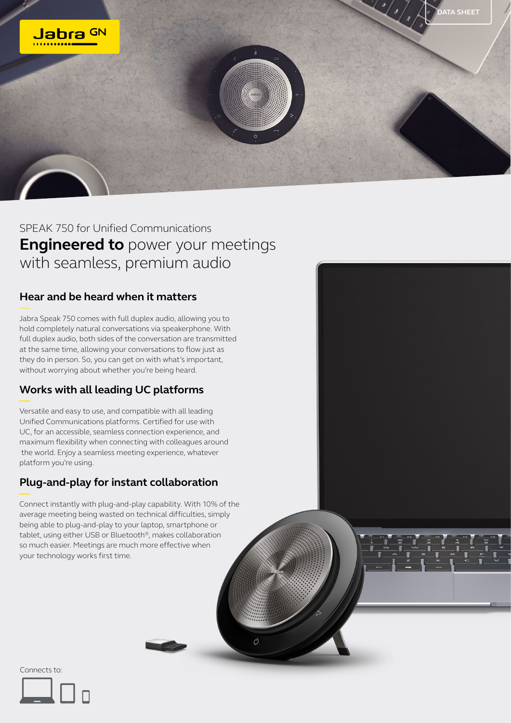

 $\mathcal{O}$ 

SPEAK 750 for Unified Communications **Engineered to** power your meetings with seamless, premium audio

## **Hear and be heard when it matters**

Jabra Speak 750 comes with full duplex audio, allowing you to hold completely natural conversations via speakerphone. With full duplex audio, both sides of the conversation are transmitted at the same time, allowing your conversations to flow just as they do in person. So, you can get on with what's important, without worrying about whether you're being heard.

## **Works with all leading UC platforms**

Versatile and easy to use, and compatible with all leading Unified Communications platforms. Certified for use with UC, for an accessible, seamless connection experience, and maximum flexibility when connecting with colleagues around the world. Enjoy a seamless meeting experience, whatever platform you're using.

## **Plug-and-play for instant collaboration**

Connect instantly with plug-and-play capability. With 10% of the average meeting being wasted on technical difficulties, simply being able to plug-and-play to your laptop, smartphone or tablet, using either USB or Bluetooth®, makes collaboration so much easier. Meetings are much more effective when your technology works first time.

Connects to: